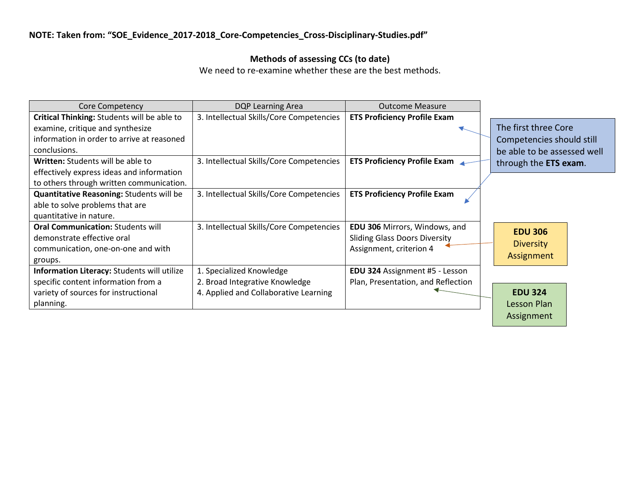## **Methods of assessing CCs (to date)**

We need to re-examine whether these are the best methods.

| <b>Core Competency</b>                          | DQP Learning Area                        | <b>Outcome Measure</b>                |                              |
|-------------------------------------------------|------------------------------------------|---------------------------------------|------------------------------|
| Critical Thinking: Students will be able to     | 3. Intellectual Skills/Core Competencies | <b>ETS Proficiency Profile Exam</b>   |                              |
| examine, critique and synthesize                |                                          |                                       | The first three Core         |
| information in order to arrive at reasoned      |                                          |                                       | Competencies should still    |
| conclusions.                                    |                                          |                                       | be able to be assessed well  |
| Written: Students will be able to               | 3. Intellectual Skills/Core Competencies | <b>ETS Proficiency Profile Exam</b>   | through the <b>ETS</b> exam. |
| effectively express ideas and information       |                                          |                                       |                              |
| to others through written communication.        |                                          |                                       |                              |
| <b>Quantitative Reasoning: Students will be</b> | 3. Intellectual Skills/Core Competencies | <b>ETS Proficiency Profile Exam</b>   |                              |
| able to solve problems that are                 |                                          |                                       |                              |
| quantitative in nature.                         |                                          |                                       |                              |
| <b>Oral Communication: Students will</b>        | 3. Intellectual Skills/Core Competencies | <b>EDU 306 Mirrors, Windows, and</b>  | <b>EDU 306</b>               |
| demonstrate effective oral                      |                                          | <b>Sliding Glass Doors Diversity</b>  | <b>Diversity</b>             |
| communication, one-on-one and with              |                                          | Assignment, criterion 4               |                              |
| groups.                                         |                                          |                                       | Assignment                   |
| Information Literacy: Students will utilize     | 1. Specialized Knowledge                 | <b>EDU 324</b> Assignment #5 - Lesson |                              |
| specific content information from a             | 2. Broad Integrative Knowledge           | Plan, Presentation, and Reflection    |                              |
| variety of sources for instructional            | 4. Applied and Collaborative Learning    |                                       | <b>EDU 324</b>               |
| planning.                                       |                                          |                                       | Lesson Plan                  |
|                                                 |                                          |                                       | Assignment                   |